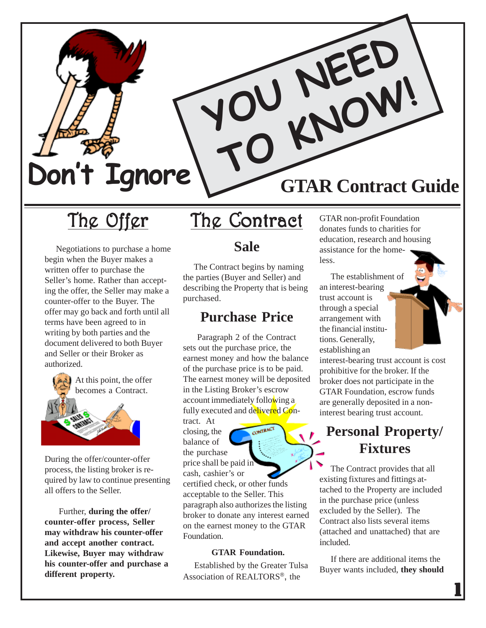

# The Offer

 Negotiations to purchase a home begin when the Buyer makes a written offer to purchase the Seller's home. Rather than accepting the offer, the Seller may make a counter-offer to the Buyer. The offer may go back and forth until all terms have been agreed to in writing by both parties and the document delivered to both Buyer and Seller or their Broker as authorized.



During the offer/counter-offer process, the listing broker is required by law to continue presenting all offers to the Seller.

 Further, **during the offer/ counter-offer process, Seller may withdraw his counter-offer and accept another contract. Likewise, Buyer may withdraw his counter-offer and purchase a different property.**

# The Contract

#### **Sale**

 The Contract begins by naming the parties (Buyer and Seller) and describing the Property that is being purchased.

#### **Purchase Price**

 Paragraph 2 of the Contract sets out the purchase price, the earnest money and how the balance of the purchase price is to be paid. The earnest money will be deposited in the Listing Broker's escrow account immediately following a fully executed and delivered Con-

tract. At closing, the balance of the purchase price shall be paid in cash, cashier's or

certified check, or other funds acceptable to the Seller. This paragraph also authorizes the listing broker to donate any interest earned on the earnest money to the GTAR Foundation.

#### **GTAR Foundation.**

 Established by the Greater Tulsa Association of REALTORS®, the

GTAR non-profit Foundation donates funds to charities for education, research and housing assistance for the homeless.

 The establishment of an interest-bearing trust account is through a special arrangement with the financial institutions. Generally, establishing an

interest-bearing trust account is cost prohibitive for the broker. If the broker does not participate in the GTAR Foundation, escrow funds are generally deposited in a noninterest bearing trust account.

### **Personal Property/ Fixtures**

The Contract provides that all existing fixtures and fittings attached to the Property are included in the purchase price (unless excluded by the Seller). The Contract also lists several items (attached and unattached) that are included.

 If there are additional items the Buyer wants included, **they should**

 $\overline{\mathbf{1}}$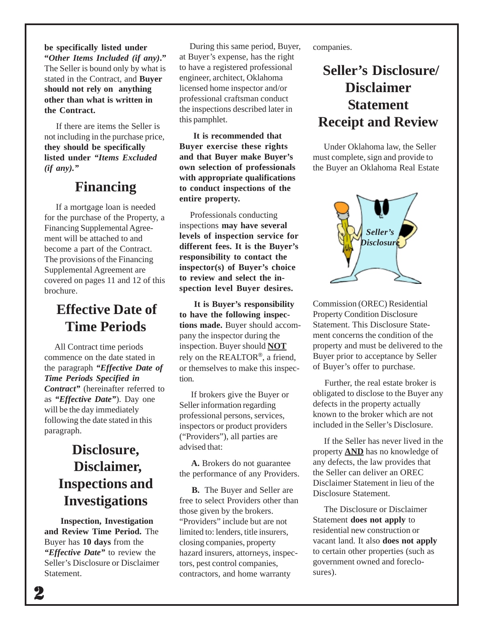**be specifically listed under "***Other Items Included (if any)***."** The Seller is bound only by what is stated in the Contract, and **Buyer should not rely on anything other than what is written in the Contract.**

If there are items the Seller is not including in the purchase price, **they should be specifically listed under** *"Items Excluded (if any)."*

#### **Financing**

 If a mortgage loan is needed for the purchase of the Property, a Financing Supplemental Agreement will be attached to and become a part of the Contract. The provisions of the Financing Supplemental Agreement are covered on pages 11 and 12 of this brochure.

### **Effective Date of Time Periods**

 All Contract time periods commence on the date stated in the paragraph *"Effective Date of Time Periods Specified in Contract"* (hereinafter referred to as *"Effective Date"*). Day one will be the day immediately following the date stated in this paragraph.

### **Disclosure, Disclaimer, Inspections and Investigations**

 **Inspection, Investigation and Review Time Period.** The Buyer has **10 days** from the *"Effective Date"* to review the Seller's Disclosure or Disclaimer Statement.

 During this same period, Buyer, at Buyer's expense, has the right to have a registered professional engineer, architect, Oklahoma licensed home inspector and/or professional craftsman conduct the inspections described later in this pamphlet.

 **It is recommended that Buyer exercise these rights and that Buyer make Buyer's own selection of professionals with appropriate qualifications to conduct inspections of the entire property.**

 Professionals conducting inspections **may have several levels of inspection service for different fees. It is the Buyer's responsibility to contact the inspector(s) of Buyer's choice to review and select the inspection level Buyer desires.**

 **It is Buyer's responsibility to have the following inspections made.** Buyer should accompany the inspector during the inspection. Buyer should **NOT** rely on the REALTOR®, a friend, or themselves to make this inspection.

 If brokers give the Buyer or Seller information regarding professional persons, services, inspectors or product providers ("Providers"), all parties are advised that:

 **A.** Brokers do not guarantee the performance of any Providers.

 **B.** The Buyer and Seller are free to select Providers other than those given by the brokers. "Providers" include but are not limited to: lenders, title insurers, closing companies, property hazard insurers, attorneys, inspectors, pest control companies, contractors, and home warranty

companies.

### **Seller's Disclosure/ Disclaimer Statement Receipt and Review**

 Under Oklahoma law, the Seller must complete, sign and provide to the Buyer an Oklahoma Real Estate



Commission (OREC) Residential Property Condition Disclosure Statement. This Disclosure Statement concerns the condition of the property and must be delivered to the Buyer prior to acceptance by Seller of Buyer's offer to purchase.

 Further, the real estate broker is obligated to disclose to the Buyer any defects in the property actually known to the broker which are not included in the Seller's Disclosure.

If the Seller has never lived in the property **AND** has no knowledge of any defects, the law provides that the Seller can deliver an OREC Disclaimer Statement in lieu of the Disclosure Statement.

 The Disclosure or Disclaimer Statement **does not apply** to residential new construction or vacant land. It also **does not apply** to certain other properties (such as government owned and foreclosures).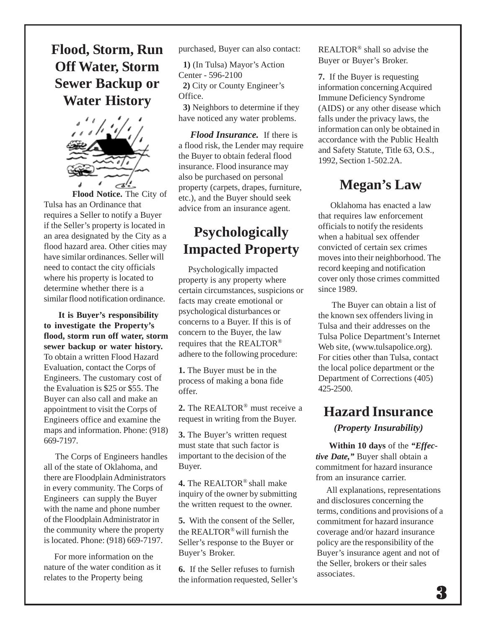### **Flood, Storm, Run Off Water, Storm Sewer Backup or Water History**



**Flood Notice.** The City of Tulsa has an Ordinance that requires a Seller to notify a Buyer if the Seller's property is located in an area designated by the City as a flood hazard area. Other cities may have similar ordinances. Seller will need to contact the city officials where his property is located to determine whether there is a similar flood notification ordinance.

 **It is Buyer's responsibility to investigate the Property's flood, storm run off water, storm sewer backup or water history.** To obtain a written Flood Hazard Evaluation, contact the Corps of Engineers. The customary cost of the Evaluation is \$25 or \$55. The Buyer can also call and make an appointment to visit the Corps of Engineers office and examine the maps and information. Phone: (918) 669-7197.

 The Corps of Engineers handles all of the state of Oklahoma, and there are Floodplain Administrators in every community. The Corps of Engineers can supply the Buyer with the name and phone number of the Floodplain Administrator in the community where the property is located. Phone: (918) 669-7197.

 For more information on the nature of the water condition as it relates to the Property being

purchased, Buyer can also contact:

 **1)** (In Tulsa) Mayor's Action Center - 596-2100

 **2)** City or County Engineer's Office.

**3)** Neighbors to determine if they have noticed any water problems.

 *Flood Insurance.* If there is a flood risk, the Lender may require the Buyer to obtain federal flood insurance. Flood insurance may also be purchased on personal property (carpets, drapes, furniture, etc.), and the Buyer should seek advice from an insurance agent.

### **Psychologically Impacted Property**

 Psychologically impacted property is any property where certain circumstances, suspicions or facts may create emotional or psychological disturbances or concerns to a Buyer. If this is of concern to the Buyer, the law requires that the REALTOR® adhere to the following procedure:

**1.** The Buyer must be in the process of making a bona fide offer.

**2.** The REALTOR® must receive a request in writing from the Buyer.

**3.** The Buyer's written request must state that such factor is important to the decision of the Buyer.

**4.** The REALTOR® shall make inquiry of the owner by submitting the written request to the owner.

**5.** With the consent of the Seller, the REALTOR® will furnish the Seller's response to the Buyer or Buyer's Broker.

**6.** If the Seller refuses to furnish the information requested, Seller's REALTOR® shall so advise the Buyer or Buyer's Broker.

**7.** If the Buyer is requesting information concerning Acquired Immune Deficiency Syndrome (AIDS) or any other disease which falls under the privacy laws, the information can only be obtained in accordance with the Public Health and Safety Statute, Title 63, O.S., 1992, Section 1-502.2A.

#### **Megan's Law**

 Oklahoma has enacted a law that requires law enforcement officials to notify the residents when a habitual sex offender convicted of certain sex crimes moves into their neighborhood. The record keeping and notification cover only those crimes committed since 1989.

 The Buyer can obtain a list of the known sex offenders living in Tulsa and their addresses on the Tulsa Police Department's Internet Web site, (www.tulsapolice.org). For cities other than Tulsa, contact the local police department or the Department of Corrections (405) 425-2500.

### **Hazard Insurance**

#### *(Property Insurability)*

 **Within 10 days** of the *"Effective Date,"* Buyer shall obtain a commitment for hazard insurance from an insurance carrier.

 All explanations, representations and disclosures concerning the terms, conditions and provisions of a commitment for hazard insurance coverage and/or hazard insurance policy are the responsibility of the Buyer's insurance agent and not of the Seller, brokers or their sales associates.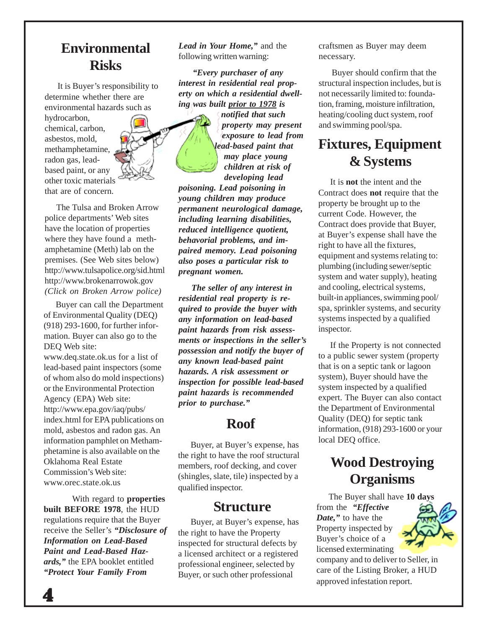### **Environmental Risks**

 It is Buyer's responsibility to determine whether there are environmental hazards such as

hydrocarbon, chemical, carbon, asbestos, mold, methamphetamine, radon gas, leadbased paint, or any other toxic materials that are of concern.

 The Tulsa and Broken Arrow police departments' Web sites have the location of properties where they have found a methamphetamine (Meth) lab on the premises. (See Web sites below) http://www.tulsapolice.org/sid.html http://www.brokenarrowok.gov *(Click on Broken Arrow police)*

Buyer can call the Department of Environmental Quality (DEQ) (918) 293-1600, for further information. Buyer can also go to the DEQ Web site: www.deq.state.ok.us for a list of lead-based paint inspectors (some of whom also do mold inspections) or the Environmental Protection Agency (EPA) Web site: http://www.epa.gov/iaq/pubs/ index.html for EPA publications on mold, asbestos and radon gas. An information pamphlet on Methamphetamine is also available on the Oklahoma Real Estate Commission's Web site: www.orec.state.ok.us

With regard to **properties built BEFORE 1978**, the HUD regulations require that the Buyer receive the Seller's *"Disclosure of Information on Lead-Based Paint and Lead-Based Hazards,"* the EPA booklet entitled *"Protect Your Family From*

*Lead in Your Home,"* and the following written warning:

 *"Every purchaser of any interest in residential real property on which a residential dwelling was built prior to 1978 is*

*notified that such property may present exposure to lead from lead-based paint that may place young children at risk of developing lead*

*poisoning. Lead poisoning in young children may produce permanent neurological damage, including learning disabilities, reduced intelligence quotient, behavorial problems, and impaired memory. Lead poisoning also poses a particular risk to pregnant women.*

 *The seller of any interest in residential real property is required to provide the buyer with any information on lead-based paint hazards from risk assessments or inspections in the seller's possession and notify the buyer of any known lead-based paint hazards. A risk assessment or inspection for possible lead-based paint hazards is recommended prior to purchase."*

#### **Roof**

 Buyer, at Buyer's expense, has the right to have the roof structural members, roof decking, and cover (shingles, slate, tile) inspected by a qualified inspector.

#### **Structure**

 Buyer, at Buyer's expense, has the right to have the Property inspected for structural defects by a licensed architect or a registered professional engineer, selected by Buyer, or such other professional

craftsmen as Buyer may deem necessary.

 Buyer should confirm that the structural inspection includes, but is not necessarily limited to: foundation, framing, moisture infiltration, heating/cooling duct system, roof and swimming pool/spa.

### **Fixtures, Equipment & Systems**

 It is **not** the intent and the Contract does **not** require that the property be brought up to the current Code. However, the Contract does provide that Buyer, at Buyer's expense shall have the right to have all the fixtures, equipment and systems relating to: plumbing (including sewer/septic system and water supply), heating and cooling, electrical systems, built-in appliances, swimming pool/ spa, sprinkler systems, and security systems inspected by a qualified inspector.

 If the Property is not connected to a public sewer system (property that is on a septic tank or lagoon system), Buyer should have the system inspected by a qualified expert. The Buyer can also contact the Department of Environmental Quality (DEQ) for septic tank information, (918) 293-1600 or your local DEQ office.

### **Wood Destroying Organisms**

 The Buyer shall have **10 days** from the *"Effective Date,"* to have the Property inspected by Buyer's choice of a licensed exterminating

company and to deliver to Seller, in care of the Listing Broker, a HUD approved infestation report.

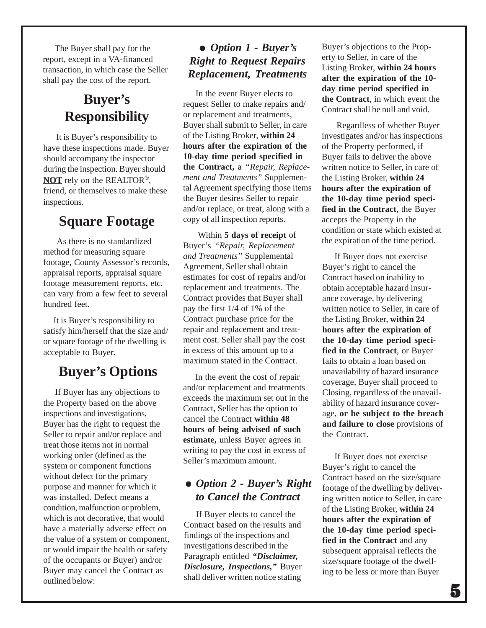The Buyer shall pay for the report, except in a VA-financed transaction, in which case the Seller shall pay the cost of the report.

### **Buyer's Responsibility**

 It is Buyer's responsibility to have these inspections made. Buyer should accompany the inspector during the inspection. Buyer should **NOT** rely on the REALTOR®, friend, or themselves to make these inspections.

### **Square Footage**

As there is no standardized method for measuring square footage, County Assessor's records, appraisal reports, appraisal square footage measurement reports, etc. can vary from a few feet to several hundred feet.

 It is Buyer's responsibility to satisfy him/herself that the size and/ or square footage of the dwelling is acceptable to Buyer.

### **Buyer's Options**

 If Buyer has any objections to the Property based on the above inspections and investigations, Buyer has the right to request the Seller to repair and/or replace and treat those items not in normal working order (defined as the system or component functions without defect for the primary purpose and manner for which it was installed. Defect means a condition, malfunction or problem, which is not decorative, that would have a materially adverse effect on the value of a system or component, or would impair the health or safety of the occupants or Buyer) and/or Buyer may cancel the Contract as outlined below:

#### *Option 1 - Buyer's Right to Request Repairs Replacement, Treatments*

 In the event Buyer elects to request Seller to make repairs and/ or replacement and treatments, Buyer shall submit to Seller, in care of the Listing Broker, **within 24 hours after the expiration of the 10-day time period specified in the Contract,** a *"Repair, Replacement and Treatments"* Supplemental Agreement specifying those items the Buyer desires Seller to repair and/or replace, or treat, along with a copy of all inspection reports.

 Within **5 days of receipt** of Buyer's *"Repair, Replacement and Treatments"* Supplemental Agreement, Seller shall obtain estimates for cost of repairs and/or replacement and treatments. The Contract provides that Buyer shall pay the first 1/4 of 1% of the Contract purchase price for the repair and replacement and treatment cost. Seller shall pay the cost in excess of this amount up to a maximum stated in the Contract.

 In the event the cost of repair and/or replacement and treatments exceeds the maximum set out in the Contract, Seller has the option to cancel the Contract **within 48 hours of being advised of such estimate,** unless Buyer agrees in writing to pay the cost in excess of Seller's maximum amount.

#### *Option 2 - Buyer's Right to Cancel the Contract*

 If Buyer elects to cancel the Contract based on the results and findings of the inspections and investigations described in the Paragraph entitled *"Disclaimer, Disclosure, Inspections,"* Buyer shall deliver written notice stating

Buyer's objections to the Property to Seller, in care of the Listing Broker, **within 24 hours after the expiration of the 10 day time period specified in the Contract**, in which event the Contract shall be null and void.

 Regardless of whether Buyer investigates and/or has inspections of the Property performed, if Buyer fails to deliver the above written notice to Seller, in care of the Listing Broker, **within 24 hours after the expiration of the 10-day time period specified in the Contract**, the Buyer accepts the Property in the condition or state which existed at the expiration of the time period.

 If Buyer does not exercise Buyer's right to cancel the Contract based on inability to obtain acceptable hazard insurance coverage, by delivering written notice to Seller, in care of the Listing Broker, **within 24 hours after the expiration of the 10-day time period specified in the Contract**, or Buyer fails to obtain a loan based on unavailability of hazard insurance coverage, Buyer shall proceed to Closing, regardless of the unavailability of hazard insurance coverage, **or be subject to the breach and failure to close** provisions of the Contract.

 If Buyer does not exercise Buyer's right to cancel the Contract based on the size/square footage of the dwelling by delivering written notice to Seller, in care of the Listing Broker, **within 24 hours after the expiration of the 10-day time period specified in the Contract** and any subsequent appraisal reflects the size/square footage of the dwelling to be less or more than Buyer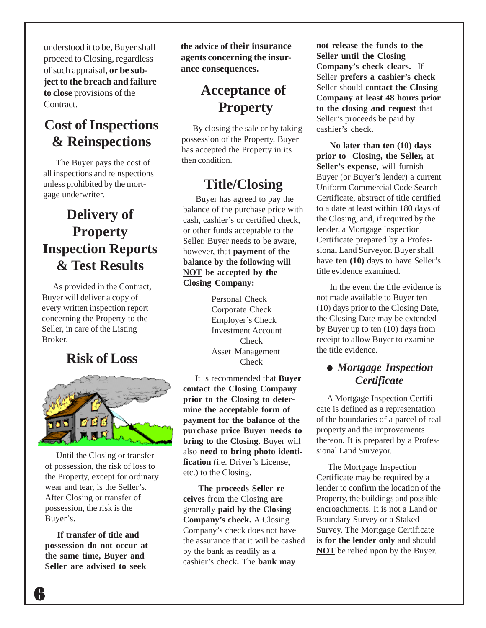understood it to be, Buyer shall proceed to Closing, regardless of such appraisal, **or be subject to the breach and failure to close** provisions of the Contract.

#### **Cost of Inspections & Reinspections**

 The Buyer pays the cost of all inspections and reinspections unless prohibited by the mortgage underwriter.

### **Delivery of Property Inspection Reports & Test Results**

 As provided in the Contract, Buyer will deliver a copy of every written inspection report concerning the Property to the Seller, in care of the Listing Broker.

#### **Risk of Loss**



 Until the Closing or transfer of possession, the risk of loss to the Property, except for ordinary wear and tear, is the Seller's. After Closing or transfer of possession, the risk is the Buyer's.

 **If transfer of title and possession do not occur at the same time, Buyer and Seller are advised to seek**

**the advice of their insurance agents concerning the insurance consequences.**

### **Acceptance of Property**

 By closing the sale or by taking possession of the Property, Buyer has accepted the Property in its then condition.

# **Title/Closing**<br>Buyer has agreed to pay the

balance of the purchase price with cash, cashier's or certified check, or other funds acceptable to the Seller. Buyer needs to be aware, however, that **payment of the balance by the following will NOT be accepted by the Closing Company:**

> Personal Check Corporate Check Employer's Check Investment Account **Check** Asset Management **Check**

 It is recommended that **Buyer contact the Closing Company prior to the Closing to determine the acceptable form of payment for the balance of the purchase price Buyer needs to bring to the Closing.** Buyer will also **need to bring photo identification** (i.e. Driver's License, etc.) to the Closing.

**The proceeds Seller receives** from the Closing **are** generally **paid by the Closing Company's check.** A Closing Company's check does not have the assurance that it will be cashed by the bank as readily as a cashier's check**.** The **bank may**

**not release the funds to the Seller until the Closing Company's check clears.** If Seller **prefers a cashier's check** Seller should **contact the Closing Company at least 48 hours prior to the closing and request** that Seller's proceeds be paid by cashier's check.

 **No later than ten (10) days prior to Closing, the Seller, at Seller's expense,** will furnish Buyer (or Buyer's lender) a current Uniform Commercial Code Search Certificate, abstract of title certified to a date at least within 180 days of the Closing, and, if required by the lender, a Mortgage Inspection Certificate prepared by a Professional Land Surveyor. Buyer shall have **ten (10)** days to have Seller's title evidence examined.

 In the event the title evidence is not made available to Buyer ten (10) days prior to the Closing Date, the Closing Date may be extended by Buyer up to ten (10) days from receipt to allow Buyer to examine the title evidence.

#### *Mortgage Inspection Certificate*

 A Mortgage Inspection Certificate is defined as a representation of the boundaries of a parcel of real property and the improvements thereon. It is prepared by a Professional Land Surveyor.

 The Mortgage Inspection Certificate may be required by a lender to confirm the location of the Property, the buildings and possible encroachments. It is not a Land or Boundary Survey or a Staked Survey. The Mortgage Certificate **is for the lender only** and should **NOT** be relied upon by the Buyer.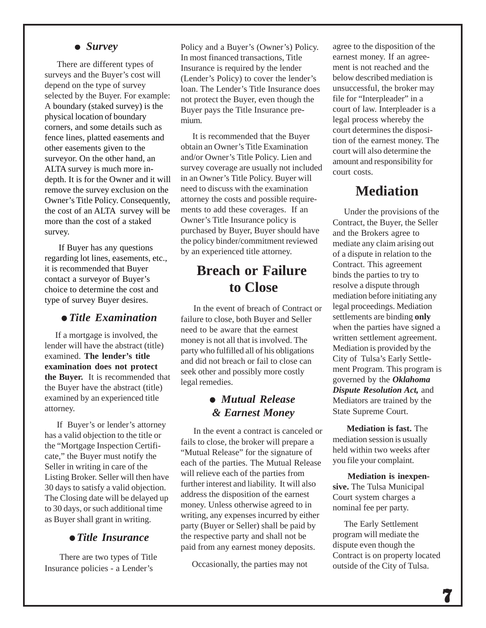#### *Survey*

 There are different types of surveys and the Buyer's cost will depend on the type of survey selected by the Buyer. For example: A boundary (staked survey) is the physical location of boundary corners, and some details such as fence lines, platted easements and other easements given to the surveyor. On the other hand, an ALTA survey is much more indepth. It is for the Owner and it will remove the survey exclusion on the Owner's Title Policy. Consequently, the cost of an ALTA survey will be more than the cost of a staked survey.

 If Buyer has any questions regarding lot lines, easements, etc., it is recommended that Buyer contact a surveyor of Buyer's choice to determine the cost and type of survey Buyer desires.

#### *Title Examination*

 If a mortgage is involved, the lender will have the abstract (title) examined. **The lender's title examination does not protect the Buyer.** It is recommended that the Buyer have the abstract (title) examined by an experienced title attorney.

 If Buyer's or lender's attorney has a valid objection to the title or the "Mortgage Inspection Certificate," the Buyer must notify the Seller in writing in care of the Listing Broker. Seller will then have 30 days to satisfy a valid objection. The Closing date will be delayed up to 30 days, or such additional time as Buyer shall grant in writing.

#### *Title Insurance*

There are two types of Title Insurance policies - a Lender's

Policy and a Buyer's (Owner's) Policy. In most financed transactions, Title Insurance is required by the lender (Lender's Policy) to cover the lender's loan. The Lender's Title Insurance does not protect the Buyer, even though the Buyer pays the Title Insurance premium.

 It is recommended that the Buyer obtain an Owner's Title Examination and/or Owner's Title Policy. Lien and survey coverage are usually not included in an Owner's Title Policy. Buyer will need to discuss with the examination attorney the costs and possible requirements to add these coverages. If an Owner's Title Insurance policy is purchased by Buyer, Buyer should have the policy binder/commitment reviewed by an experienced title attorney.

#### **Breach or Failure to Close**

 In the event of breach of Contract or failure to close, both Buyer and Seller need to be aware that the earnest money is not all that is involved. The party who fulfilled all of his obligations and did not breach or fail to close can seek other and possibly more costly legal remedies.

#### *Mutual Release & Earnest Money*

 In the event a contract is canceled or fails to close, the broker will prepare a "Mutual Release" for the signature of each of the parties. The Mutual Release will relieve each of the parties from further interest and liability. It will also address the disposition of the earnest money. Unless otherwise agreed to in writing, any expenses incurred by either party (Buyer or Seller) shall be paid by the respective party and shall not be paid from any earnest money deposits.

Occasionally, the parties may not

agree to the disposition of the earnest money. If an agreement is not reached and the below described mediation is unsuccessful, the broker may file for "Interpleader" in a court of law. Interpleader is a legal process whereby the court determines the disposition of the earnest money. The court will also determine the amount and responsibility for court costs.

#### **Mediation**

 Under the provisions of the Contract, the Buyer, the Seller and the Brokers agree to mediate any claim arising out of a dispute in relation to the Contract. This agreement binds the parties to try to resolve a dispute through mediation before initiating any legal proceedings. Mediation settlements are binding **only** when the parties have signed a written settlement agreement. Mediation is provided by the City of Tulsa's Early Settlement Program. This program is governed by the *Oklahoma Dispute Resolution Act,* and Mediators are trained by the State Supreme Court.

 **Mediation is fast.** The mediation session is usually held within two weeks after you file your complaint.

 **Mediation is inexpensive.** The Tulsa Municipal Court system charges a nominal fee per party.

 The Early Settlement program will mediate the dispute even though the Contract is on property located outside of the City of Tulsa.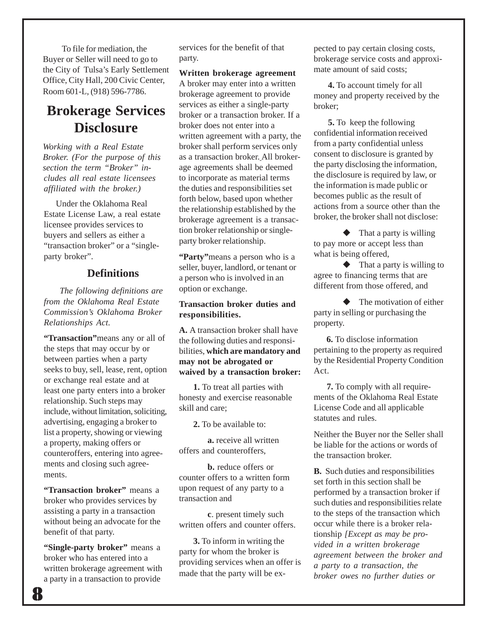To file for mediation, the Buyer or Seller will need to go to the City of Tulsa's Early Settlement Office, City Hall, 200 Civic Center, Room 601-L, (918) 596-7786.

### **Brokerage Services Disclosure**

*Working with a Real Estate Broker. (For the purpose of this section the term "Broker" includes all real estate licensees affiliated with the broker.)*

Under the Oklahoma Real Estate License Law, a real estate licensee provides services to buyers and sellers as either a "transaction broker" or a "singleparty broker".

#### **Definitions**

 *The following definitions are from the Oklahoma Real Estate Commission's Oklahoma Broker Relationships Act.*

**"Transaction"**means any or all of the steps that may occur by or between parties when a party seeks to buy, sell, lease, rent, option or exchange real estate and at least one party enters into a broker relationship. Such steps may include, without limitation, soliciting, advertising, engaging a broker to list a property, showing or viewing a property, making offers or counteroffers, entering into agreements and closing such agreements.

**"Transaction broker"** means a broker who provides services by assisting a party in a transaction without being an advocate for the benefit of that party.

**"Single-party broker"** means a broker who has entered into a written brokerage agreement with a party in a transaction to provide

services for the benefit of that party.

**Written brokerage agreement** A broker may enter into a written brokerage agreement to provide services as either a single-party broker or a transaction broker. If a broker does not enter into a written agreement with a party, the

broker shall perform services only as a transaction broker. All brokerage agreements shall be deemed to incorporate as material terms the duties and responsibilities set forth below, based upon whether the relationship established by the brokerage agreement is a transaction broker relationship or singleparty broker relationship.

**"Party"**means a person who is a seller, buyer, landlord, or tenant or a person who is involved in an option or exchange.

#### **Transaction broker duties and responsibilities.**

**A.** A transaction broker shall have the following duties and responsibilities, **which are mandatory and may not be abrogated or waived by a transaction broker:**

**1.** To treat all parties with honesty and exercise reasonable skill and care;

**2.** To be available to:

**a.** receive all written offers and counteroffers,

**b.** reduce offers or counter offers to a written form upon request of any party to a transaction and

**c**. present timely such written offers and counter offers.

**3.** To inform in writing the party for whom the broker is providing services when an offer is pected to pay certain closing costs, brokerage service costs and approximate amount of said costs;

**4.** To account timely for all money and property received by the broker;

**5.** To keep the following confidential information received from a party confidential unless consent to disclosure is granted by the party disclosing the information, the disclosure is required by law, or the information is made public or becomes public as the result of actions from a source other than the broker, the broker shall not disclose:

 $\blacklozenge$  That a party is willing to pay more or accept less than what is being offered,

 $\blacklozenge$  That a party is willing to agree to financing terms that are different from those offered, and

 The motivation of either party in selling or purchasing the property.

 **6.** To disclose information pertaining to the property as required by the Residential Property Condition Act.

 **7.** To comply with all requirements of the Oklahoma Real Estate License Code and all applicable statutes and rules.

Neither the Buyer nor the Seller shall be liable for the actions or words of the transaction broker.

**B.** Such duties and responsibilities set forth in this section shall be performed by a transaction broker if such duties and responsibilities relate to the steps of the transaction which occur while there is a broker relationship *[Except as may be provided in a written brokerage agreement between the broker and a party to a transaction, the* made that the party will be ex- *broker owes no further duties or*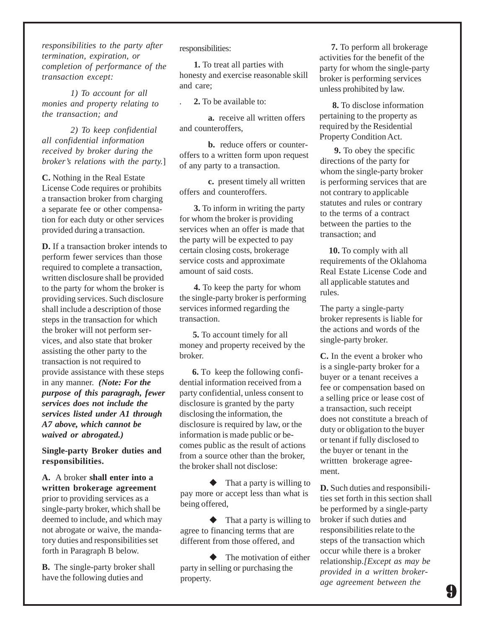*responsibilities to the party after termination, expiration, or completion of performance of the transaction except:*

*1) To account for all monies and property relating to the transaction; and*

*2) To keep confidential all confidential information received by broker during the broker's relations with the party.*]

**C.** Nothing in the Real Estate License Code requires or prohibits a transaction broker from charging a separate fee or other compensation for each duty or other services provided during a transaction.

**D.** If a transaction broker intends to perform fewer services than those required to complete a transaction, written disclosure shall be provided to the party for whom the broker is providing services. Such disclosure shall include a description of those steps in the transaction for which the broker will not perform services, and also state that broker assisting the other party to the transaction is not required to provide assistance with these steps in any manner. *(Note: For the purpose of this paragragh, fewer services does not include the services listed under A1 through A7 above, which cannot be waived or abrogated.)*

**Single-party Broker duties and responsibilities.**

**A.** A broker **shall enter into a written brokerage agreement** prior to providing services as a single-party broker, which shall be deemed to include, and which may not abrogate or waive, the mandatory duties and responsibilities set forth in Paragraph B below.

**B.** The single-party broker shall have the following duties and

responsibilities:

**1.** To treat all parties with honesty and exercise reasonable skill and care;

. **2.** To be available to:

**a.** receive all written offers and counteroffers,

**b.** reduce offers or counteroffers to a written form upon request of any party to a transaction.

**c.** present timely all written offers and counteroffers.

 $\mathbf{u}$  costs. **3.** To inform in writing the party for whom the broker is providing services when an offer is made that the party will be expected to pay certain closing costs, brokerage service costs and approximate amount of said costs.

**4.** To keep the party for whom the single-party broker is performing services informed regarding the transaction.

 **5.** To account timely for all money and property received by the broker.

 **6.** To keep the following confidential information received from a party confidential, unless consent to disclosure is granted by the party disclosing the information, the disclosure is required by law, or the information is made public or becomes public as the result of actions from a source other than the broker, the broker shall not disclose:

 $\blacklozenge$  That a party is willing to pay more or accept less than what is being offered,

 $\blacklozenge$  That a party is willing to agree to financing terms that are different from those offered, and

 The motivation of either party in selling or purchasing the property.

 **7.** To perform all brokerage activities for the benefit of the party for whom the single-party broker is performing services unless prohibited by law.

 **8.** To disclose information pertaining to the property as required by the Residential Property Condition Act.

 **9.** To obey the specific directions of the party for whom the single-party broker is performing services that are not contrary to applicable statutes and rules or contrary to the terms of a contract between the parties to the transaction; and

 **10.** To comply with all requirements of the Oklahoma Real Estate License Code and all applicable statutes and rules.

The party a single-party broker represents is liable for the actions and words of the single-party broker.

**C.** In the event a broker who is a single-party broker for a buyer or a tenant receives a fee or compensation based on a selling price or lease cost of a transaction, such receipt does not constitute a breach of duty or obligation to the buyer or tenant if fully disclosed to the buyer or tenant in the writtten brokerage agreement.

**D.** Such duties and responsibilities set forth in this section shall be performed by a single-party broker if such duties and responsibilities relate to the steps of the transaction which occur while there is a broker relationship.*[Except as may be provided in a written brokerage agreement between the*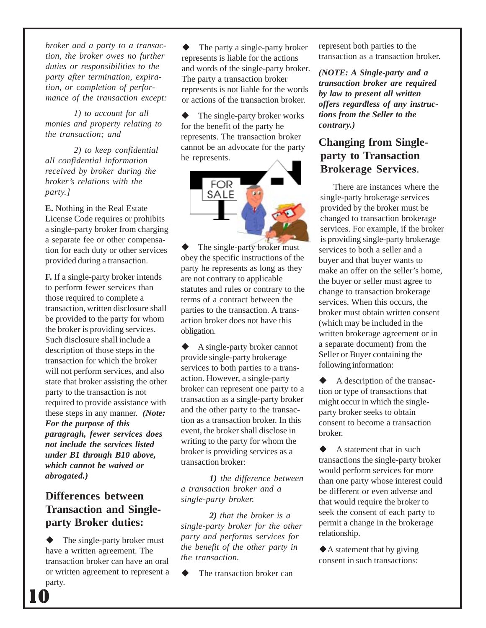*broker and a party to a transaction, the broker owes no further duties or responsibilities to the party after termination, expiration, or completion of performance of the transaction except:*

*1) to account for all monies and property relating to the transaction; and*

*2) to keep confidential all confidential information received by broker during the broker's relations with the party.]*

**E.** Nothing in the Real Estate License Code requires or prohibits a single-party broker from charging a separate fee or other compensation for each duty or other services provided during a transaction.

**F.** If a single-party broker intends to perform fewer services than those required to complete a transaction, written disclosure shall be provided to the party for whom the broker is providing services. Such disclosure shall include a description of those steps in the transaction for which the broker will not perform services, and also state that broker assisting the other party to the transaction is not required to provide assistance with these steps in any manner. *(Note: For the purpose of this paragragh, fewer services does not include the services listed under B1 through B10 above, which cannot be waived or abrogated.)*

#### **Differences between Transaction and Singleparty Broker duties:**

 The single-party broker must have a written agreement. The transaction broker can have an oral or written agreement to represent a party.

10

and words of the single-party broker. represents is not nable for the word<br>or actions of the transaction broker. The party a single-party broker represents is liable for the actions The party a transaction broker represents is not liable for the words

 The single-party broker works for the benefit of the party he represents. The transaction broker cannot be an advocate for the party he represents.



 The single-party broker must obey the specific instructions of the party he represents as long as they are not contrary to applicable statutes and rules or contrary to the terms of a contract between the parties to the transaction. A transaction broker does not have this obligation.

 A single-party broker cannot provide single-party brokerage services to both parties to a transaction. However, a single-party broker can represent one party to a transaction as a single-party broker and the other party to the transaction as a transaction broker. In this event, the broker shall disclose in writing to the party for whom the broker is providing services as a transaction broker:

*1) the difference between a transaction broker and a single-party broker.*

*2) that the broker is a single-party broker for the other party and performs services for the benefit of the other party in the transaction.*

**◆** The transaction broker can

represent both parties to the transaction as a transaction broker.

*(NOTE: A Single-party and a transaction broker are required by law to present all written offers regardless of any instructions from the Seller to the contrary.)*

#### **Changing from Singleparty to Transaction Brokerage Services**.

 There are instances where the single-party brokerage services provided by the broker must be changed to transaction brokerage services. For example, if the broker is providing single-party brokerage services to both a seller and a buyer and that buyer wants to make an offer on the seller's home, the buyer or seller must agree to change to transaction brokerage services. When this occurs, the broker must obtain written consent (which may be included in the written brokerage agreement or in a separate document) from the Seller or Buyer containing the following information:

 $\blacklozenge$  A description of the transaction or type of transactions that might occur in which the singleparty broker seeks to obtain consent to become a transaction broker.

 $\blacklozenge$  A statement that in such transactions the single-party broker would perform services for more than one party whose interest could be different or even adverse and that would require the broker to seek the consent of each party to permit a change in the brokerage relationship.

A statement that by giving consent in such transactions: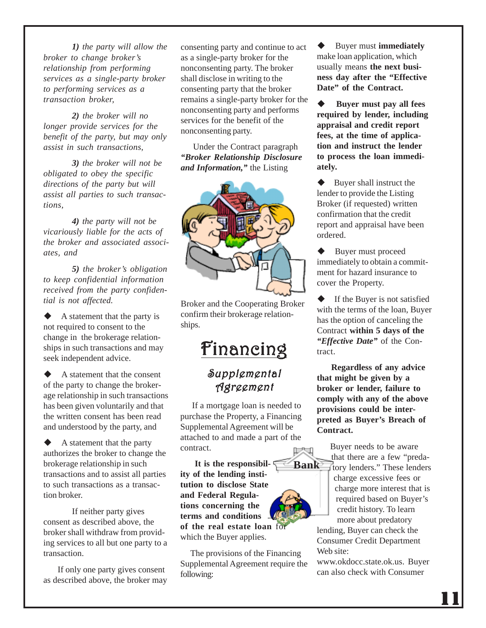*1) the party will allow the broker to change broker's relationship from performing services as a single-party broker to performing services as a transaction broker,*

*2) the broker will no longer provide services for the benefit of the party, but may only assist in such transactions,*

*3) the broker will not be obligated to obey the specific directions of the party but will assist all parties to such transactions,*

*4) the party will not be vicariously liable for the acts of the broker and associated associates, and*

*5) the broker's obligation to keep confidential information received from the party confidential is not affected.*

 A statement that the party is not required to consent to the change in the brokerage relationships in such transactions and may seek independent advice.

 A statement that the consent of the party to change the brokerage relationship in such transactions has been given voluntarily and that the written consent has been read and understood by the party, and

 A statement that the party authorizes the broker to change the brokerage relationship in such transactions and to assist all parties to such transactions as a transaction broker.

If neither party gives consent as described above, the broker shall withdraw from providing services to all but one party to a transaction.

If only one party gives consent as described above, the broker may consenting party and continue to act as a single-party broker for the nonconsenting party. The broker shall disclose in writing to the consenting party that the broker remains a single-party broker for the nonconsenting party and performs services for the benefit of the nonconsenting party.

 Under the Contract paragraph *"Broker Relationship Disclosure and Information,"* the Listing



Broker and the Cooperating Broker confirm their brokerage relationships.

## Financing Financing

#### Supplemental Agreement

If a mortgage loan is needed to purchase the Property, a Financing Supplemental Agreement will be attached to and made a part of the contract.

**Bank**

 **It is the responsibility of the lending institution to disclose State and Federal Regulations concerning the terms and conditions of the real estate loan** for which the Buyer applies.

 The provisions of the Financing Supplemental Agreement require the following:

 Buyer must **immediately** make loan application, which usually means **the next business day after the "Effective Date" of the Contract.**

 **Buyer must pay all fees required by lender, including appraisal and credit report fees, at the time of application and instruct the lender to process the loan immediately.**

 $\blacklozenge$  Buyer shall instruct the lender to provide the Listing Broker (if requested) written confirmation that the credit report and appraisal have been ordered.

◆ Buyer must proceed immediately to obtain a commitment for hazard insurance to cover the Property.

 $\blacklozenge$  If the Buyer is not satisfied with the terms of the loan, Buyer has the option of canceling the Contract **within 5 days of the** *"Effective Date"* of the Contract.

 **Regardless of any advice that might be given by a broker or lender, failure to comply with any of the above provisions could be interpreted as Buyer's Breach of Contract.**

> Buyer needs to be aware that there are a few "predatory lenders." These lenders charge excessive fees or charge more interest that is required based on Buyer's credit history. To learn more about predatory

lending, Buyer can check the Consumer Credit Department Web site:

www.okdocc.state.ok.us. Buyer can also check with Consumer